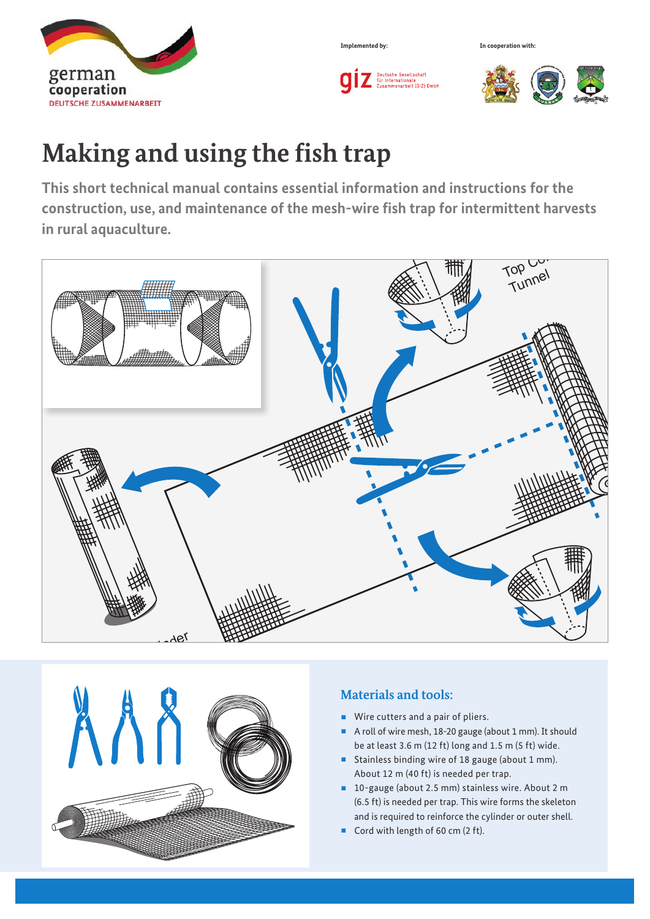

Deutsche Gesellschaft<br>Für Internationale<br>Zusammenarbeit (GIZ) GmbH

**Implemented by: In cooperation with:**



# **Making and using the fish trap**

**This short technical manual contains essential information and instructions for the construction, use, and maintenance of the mesh-wire fish trap for intermittent harvests in rural aquaculture.** 





## **Materials and tools:**

- Wire cutters and a pair of pliers.
- A roll of wire mesh, 18-20 gauge (about 1 mm). It should be at least 3.6 m (12 ft) long and 1.5 m (5 ft) wide.
- Stainless binding wire of 18 gauge (about 1 mm). About 12 m (40 ft) is needed per trap.
- 10-gauge (about 2.5 mm) stainless wire. About 2 m (6.5 ft) is needed per trap. This wire forms the skeleton and is required to reinforce the cylinder or outer shell.
- Cord with length of 60 cm  $(2 ft)$ .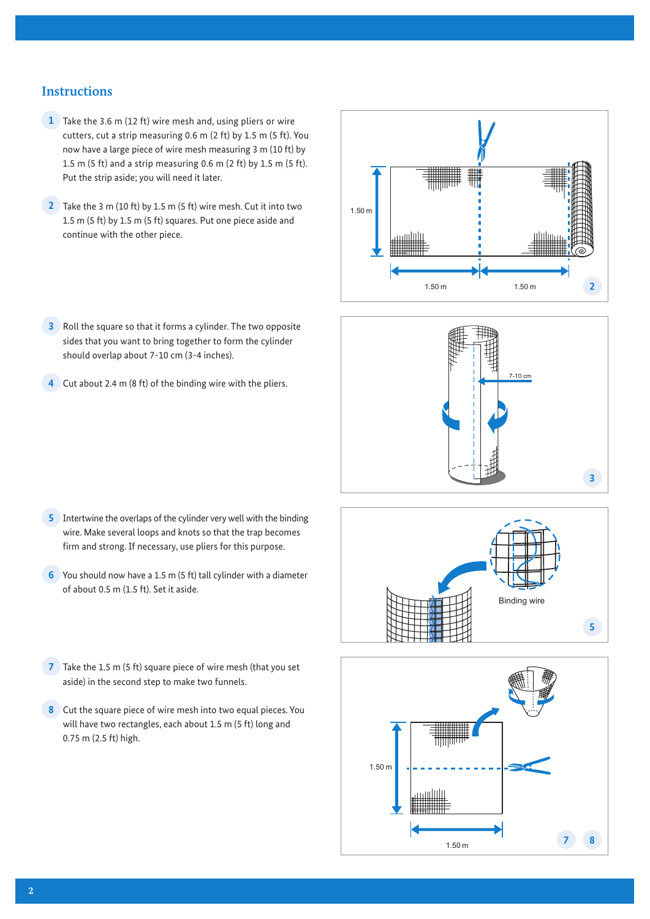## **Instructions**

- **1** Take the 3.6 m (12 ft) wire mesh and, using pliers or wire cutters, cut a strip measuring 0.6 m (2 ft) by 1.5 m (5 ft). You now have a large piece of wire mesh measuring 3 m (10 ft) by 1.5 m (5 ft) and a strip measuring 0.6 m (2 ft) by 1.5 m (5 ft). Put the strip aside; you will need it later.
- **2** Take the 3 m (10 ft) by 1.5 m (5 ft) wire mesh. Cut it into two 1.5 m (5 ft) by 1.5 m (5 ft) squares. Put one piece aside and continue with the other piece.
- **3** Roll the square so that it forms a cylinder. The two opposite sides that you want to bring together to form the cylinder should overlap about 7-10 cm (3-4 inches).
- **4** Cut about 2.4 m (8 ft) of the binding wire with the pliers.





- **5** Intertwine the overlaps of the cylinder very well with the binding wire. Make several loops and knots so that the trap becomes firm and strong. If necessary, use pliers for this purpose.
- **6** You should now have a 1.5 m (5 ft) tall cylinder with a diameter of about 0.5 m (1.5 ft). Set it aside.
- **7** Take the 1.5 m (5 ft) square piece of wire mesh (that you set aside) in the second step to make two funnels.
- **8** Cut the square piece of wire mesh into two equal pieces. You will have two rectangles, each about 1.5 m (5 ft) long and 0.75 m (2.5 ft) high.



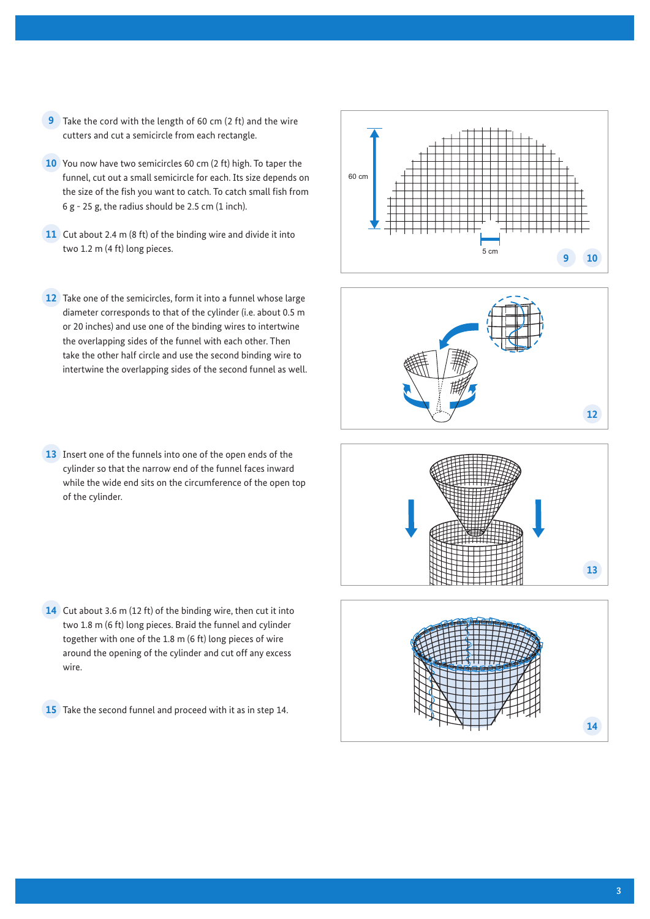- **9** Take the cord with the length of 60 cm (2 ft) and the wire cutters and cut a semicircle from each rectangle.
- **10** You now have two semicircles 60 cm (2 ft) high. To taper the funnel, cut out a small semicircle for each. Its size depends on the size of the fish you want to catch. To catch small fish from  $6 g - 25 g$ , the radius should be 2.5 cm (1 inch).
- **11** Cut about 2.4 m (8 ft) of the binding wire and divide it into two 1.2 m (4 ft) long pieces.
- **12** Take one of the semicircles, form it into a funnel whose large diameter corresponds to that of the cylinder (i.e. about 0.5 m or 20 inches) and use one of the binding wires to intertwine the overlapping sides of the funnel with each other. Then take the other half circle and use the second binding wire to intertwine the overlapping sides of the second funnel as well.
- **13** Insert one of the funnels into one of the open ends of the cylinder so that the narrow end of the funnel faces inward while the wide end sits on the circumference of the open top of the cylinder.

**14** Cut about 3.6 m (12 ft) of the binding wire, then cut it into two 1.8 m (6 ft) long pieces. Braid the funnel and cylinder together with one of the 1.8 m (6 ft) long pieces of wire around the opening of the cylinder and cut off any excess wire.

**15** Take the second funnel and proceed with it as in step 14.







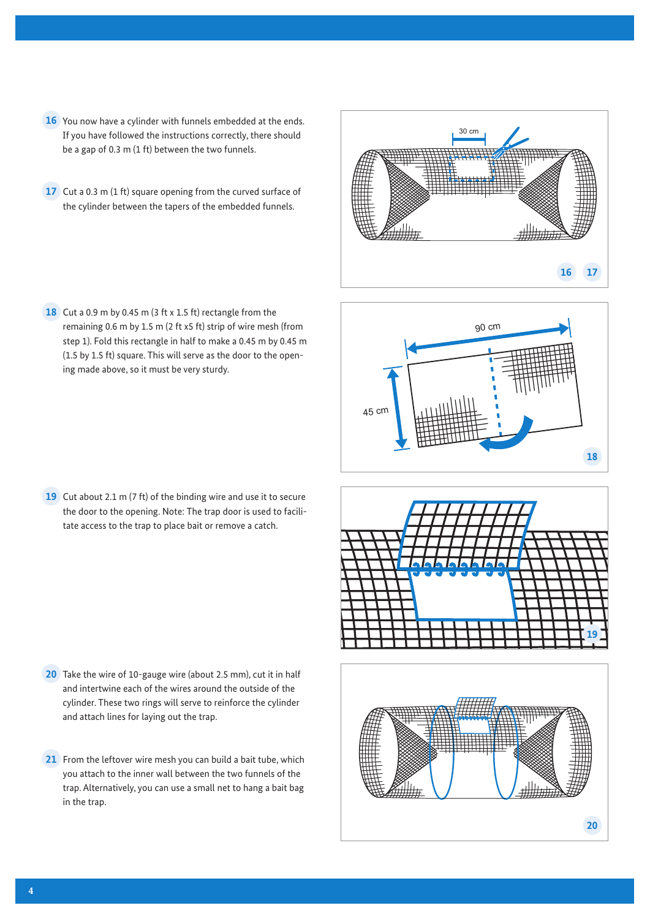- **16** You now have a cylinder with funnels embedded at the ends. If you have followed the instructions correctly, there should be a gap of 0.3 m (1 ft) between the two funnels.
- **17** Cut a 0.3 m (1 ft) square opening from the curved surface of the cylinder between the tapers of the embedded funnels.

18 Cut a 0.9 m by 0.45 m (3 ft x 1.5 ft) rectangle from the remaining 0.6 m by 1.5 m (2 ft x5 ft) strip of wire mesh (from step 1). Fold this rectangle in half to make a 0.45 m by 0.45 m (1.5 by 1.5 ft) square. This will serve as the door to the opening made above, so it must be very sturdy.

**19** Cut about 2.1 m (7 ft) of the binding wire and use it to secure the door to the opening. Note: The trap door is used to facilitate access to the trap to place bait or remove a catch.

- **20** Take the wire of 10-gauge wire (about 2.5 mm), cut it in half and intertwine each of the wires around the outside of the cylinder. These two rings will serve to reinforce the cylinder and attach lines for laying out the trap.
- **21** From the leftover wire mesh you can build a bait tube, which you attach to the inner wall between the two funnels of the trap. Alternatively, you can use a small net to hang a bait bag in the trap.

**4**